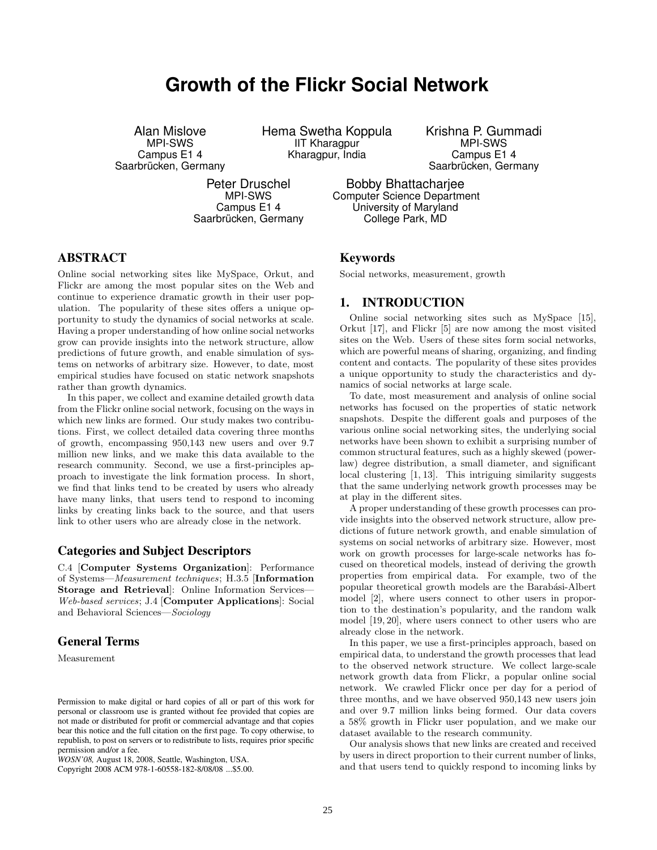# **Growth of the Flickr Social Network**

Alan Mislove MPI-SWS Campus E1 4 Saarbrücken, Germany Hema Swetha Koppula IIT Kharagpur Kharagpur, India

Peter Druschel MPI-SWS Campus E1 4 Saarbrücken, Germany Krishna P. Gummadi MPI-SWS Campus E1 4 Saarbrücken, Germany

Bobby Bhattacharjee Computer Science Department University of Maryland College Park, MD

# ABSTRACT

Online social networking sites like MySpace, Orkut, and Flickr are among the most popular sites on the Web and continue to experience dramatic growth in their user population. The popularity of these sites offers a unique opportunity to study the dynamics of social networks at scale. Having a proper understanding of how online social networks grow can provide insights into the network structure, allow predictions of future growth, and enable simulation of systems on networks of arbitrary size. However, to date, most empirical studies have focused on static network snapshots rather than growth dynamics.

In this paper, we collect and examine detailed growth data from the Flickr online social network, focusing on the ways in which new links are formed. Our study makes two contributions. First, we collect detailed data covering three months of growth, encompassing 950,143 new users and over 9.7 million new links, and we make this data available to the research community. Second, we use a first-principles approach to investigate the link formation process. In short, we find that links tend to be created by users who already have many links, that users tend to respond to incoming links by creating links back to the source, and that users link to other users who are already close in the network.

# Categories and Subject Descriptors

C.4 [Computer Systems Organization]: Performance of Systems—Measurement techniques; H.3.5 [Information Storage and Retrieval]: Online Information Services— Web-based services; J.4 [Computer Applications]: Social and Behavioral Sciences—Sociology

# General Terms

Measurement

Copyright 2008 ACM 978-1-60558-182-8/08/08 ...\$5.00.

#### Keywords

Social networks, measurement, growth

## 1. INTRODUCTION

Online social networking sites such as MySpace [15], Orkut [17], and Flickr [5] are now among the most visited sites on the Web. Users of these sites form social networks, which are powerful means of sharing, organizing, and finding content and contacts. The popularity of these sites provides a unique opportunity to study the characteristics and dynamics of social networks at large scale.

To date, most measurement and analysis of online social networks has focused on the properties of static network snapshots. Despite the different goals and purposes of the various online social networking sites, the underlying social networks have been shown to exhibit a surprising number of common structural features, such as a highly skewed (powerlaw) degree distribution, a small diameter, and significant local clustering [1, 13]. This intriguing similarity suggests that the same underlying network growth processes may be at play in the different sites.

A proper understanding of these growth processes can provide insights into the observed network structure, allow predictions of future network growth, and enable simulation of systems on social networks of arbitrary size. However, most work on growth processes for large-scale networks has focused on theoretical models, instead of deriving the growth properties from empirical data. For example, two of the popular theoretical growth models are the Barabási-Albert model [2], where users connect to other users in proportion to the destination's popularity, and the random walk model [19, 20], where users connect to other users who are already close in the network.

In this paper, we use a first-principles approach, based on empirical data, to understand the growth processes that lead to the observed network structure. We collect large-scale network growth data from Flickr, a popular online social network. We crawled Flickr once per day for a period of three months, and we have observed 950,143 new users join and over 9.7 million links being formed. Our data covers a 58% growth in Flickr user population, and we make our dataset available to the research community.

Our analysis shows that new links are created and received by users in direct proportion to their current number of links, and that users tend to quickly respond to incoming links by

Permission to make digital or hard copies of all or part of this work for personal or classroom use is granted without fee provided that copies are not made or distributed for profit or commercial advantage and that copies bear this notice and the full citation on the first page. To copy otherwise, to republish, to post on servers or to redistribute to lists, requires prior specific permission and/or a fee.

*WOSN'08,* August 18, 2008, Seattle, Washington, USA.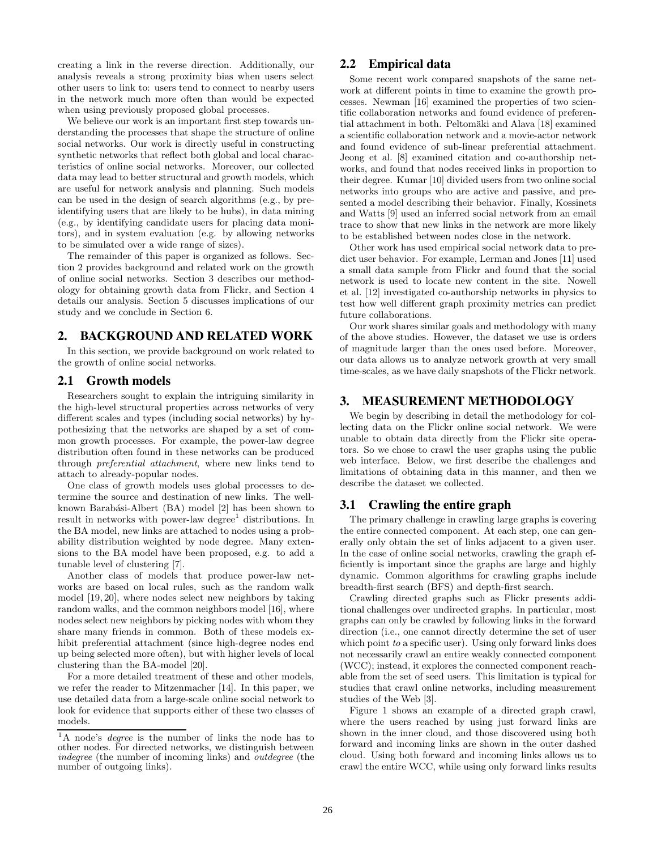creating a link in the reverse direction. Additionally, our analysis reveals a strong proximity bias when users select other users to link to: users tend to connect to nearby users in the network much more often than would be expected when using previously proposed global processes.

We believe our work is an important first step towards understanding the processes that shape the structure of online social networks. Our work is directly useful in constructing synthetic networks that reflect both global and local characteristics of online social networks. Moreover, our collected data may lead to better structural and growth models, which are useful for network analysis and planning. Such models can be used in the design of search algorithms (e.g., by preidentifying users that are likely to be hubs), in data mining (e.g., by identifying candidate users for placing data monitors), and in system evaluation (e.g. by allowing networks to be simulated over a wide range of sizes).

The remainder of this paper is organized as follows. Section 2 provides background and related work on the growth of online social networks. Section 3 describes our methodology for obtaining growth data from Flickr, and Section 4 details our analysis. Section 5 discusses implications of our study and we conclude in Section 6.

# 2. BACKGROUND AND RELATED WORK

In this section, we provide background on work related to the growth of online social networks.

## 2.1 Growth models

Researchers sought to explain the intriguing similarity in the high-level structural properties across networks of very different scales and types (including social networks) by hypothesizing that the networks are shaped by a set of common growth processes. For example, the power-law degree distribution often found in these networks can be produced through preferential attachment, where new links tend to attach to already-popular nodes.

One class of growth models uses global processes to determine the source and destination of new links. The wellknown Barabási-Albert (BA) model [2] has been shown to result in networks with power-law degree<sup>1</sup> distributions. In the BA model, new links are attached to nodes using a probability distribution weighted by node degree. Many extensions to the BA model have been proposed, e.g. to add a tunable level of clustering [7].

Another class of models that produce power-law networks are based on local rules, such as the random walk model [19, 20], where nodes select new neighbors by taking random walks, and the common neighbors model [16], where nodes select new neighbors by picking nodes with whom they share many friends in common. Both of these models exhibit preferential attachment (since high-degree nodes end up being selected more often), but with higher levels of local clustering than the BA-model [20].

For a more detailed treatment of these and other models, we refer the reader to Mitzenmacher [14]. In this paper, we use detailed data from a large-scale online social network to look for evidence that supports either of these two classes of models.

# 2.2 Empirical data

Some recent work compared snapshots of the same network at different points in time to examine the growth processes. Newman [16] examined the properties of two scientific collaboration networks and found evidence of preferential attachment in both. Peltomäki and Alava [18] examined a scientific collaboration network and a movie-actor network and found evidence of sub-linear preferential attachment. Jeong et al. [8] examined citation and co-authorship networks, and found that nodes received links in proportion to their degree. Kumar [10] divided users from two online social networks into groups who are active and passive, and presented a model describing their behavior. Finally, Kossinets and Watts [9] used an inferred social network from an email trace to show that new links in the network are more likely to be established between nodes close in the network.

Other work has used empirical social network data to predict user behavior. For example, Lerman and Jones [11] used a small data sample from Flickr and found that the social network is used to locate new content in the site. Nowell et al. [12] investigated co-authorship networks in physics to test how well different graph proximity metrics can predict future collaborations.

Our work shares similar goals and methodology with many of the above studies. However, the dataset we use is orders of magnitude larger than the ones used before. Moreover, our data allows us to analyze network growth at very small time-scales, as we have daily snapshots of the Flickr network.

# 3. MEASUREMENT METHODOLOGY

We begin by describing in detail the methodology for collecting data on the Flickr online social network. We were unable to obtain data directly from the Flickr site operators. So we chose to crawl the user graphs using the public web interface. Below, we first describe the challenges and limitations of obtaining data in this manner, and then we describe the dataset we collected.

# 3.1 Crawling the entire graph

The primary challenge in crawling large graphs is covering the entire connected component. At each step, one can generally only obtain the set of links adjacent to a given user. In the case of online social networks, crawling the graph efficiently is important since the graphs are large and highly dynamic. Common algorithms for crawling graphs include breadth-first search (BFS) and depth-first search.

Crawling directed graphs such as Flickr presents additional challenges over undirected graphs. In particular, most graphs can only be crawled by following links in the forward direction (i.e., one cannot directly determine the set of user which point to a specific user). Using only forward links does not necessarily crawl an entire weakly connected component (WCC); instead, it explores the connected component reachable from the set of seed users. This limitation is typical for studies that crawl online networks, including measurement studies of the Web [3].

Figure 1 shows an example of a directed graph crawl, where the users reached by using just forward links are shown in the inner cloud, and those discovered using both forward and incoming links are shown in the outer dashed cloud. Using both forward and incoming links allows us to crawl the entire WCC, while using only forward links results

 $1<sup>1</sup>A$  node's *degree* is the number of links the node has to other nodes. For directed networks, we distinguish between indegree (the number of incoming links) and *outdegree* (the number of outgoing links).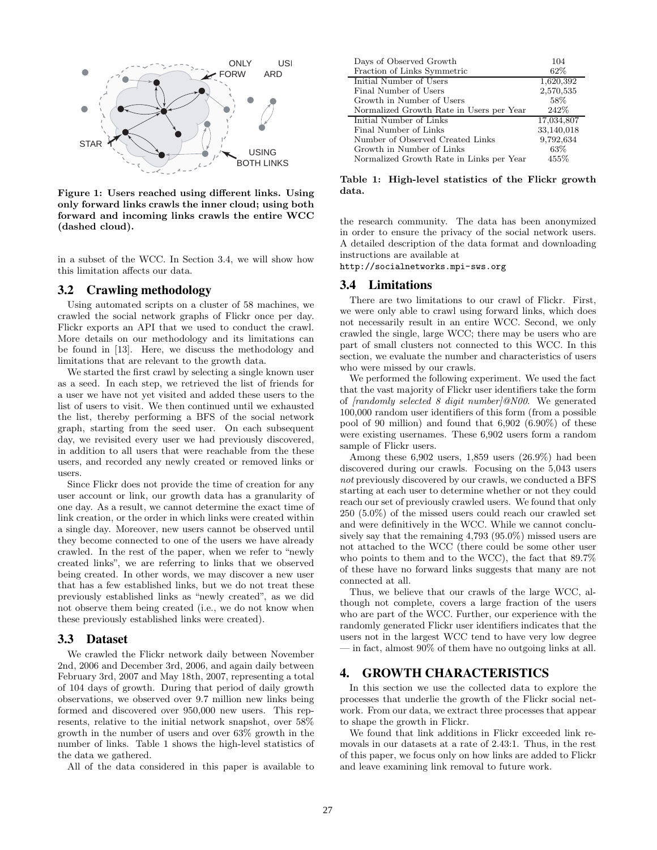

Figure 1: Users reached using different links. Using only forward links crawls the inner cloud; using both forward and incoming links crawls the entire WCC (dashed cloud).

in a subset of the WCC. In Section 3.4, we will show how this limitation affects our data.

# 3.2 Crawling methodology

Using automated scripts on a cluster of 58 machines, we crawled the social network graphs of Flickr once per day. Flickr exports an API that we used to conduct the crawl. More details on our methodology and its limitations can be found in [13]. Here, we discuss the methodology and limitations that are relevant to the growth data.

We started the first crawl by selecting a single known user as a seed. In each step, we retrieved the list of friends for a user we have not yet visited and added these users to the list of users to visit. We then continued until we exhausted the list, thereby performing a BFS of the social network graph, starting from the seed user. On each subsequent day, we revisited every user we had previously discovered, in addition to all users that were reachable from the these users, and recorded any newly created or removed links or users.

Since Flickr does not provide the time of creation for any user account or link, our growth data has a granularity of one day. As a result, we cannot determine the exact time of link creation, or the order in which links were created within a single day. Moreover, new users cannot be observed until they become connected to one of the users we have already crawled. In the rest of the paper, when we refer to "newly created links", we are referring to links that we observed being created. In other words, we may discover a new user that has a few established links, but we do not treat these previously established links as "newly created", as we did not observe them being created (i.e., we do not know when these previously established links were created).

#### 3.3 Dataset

We crawled the Flickr network daily between November 2nd, 2006 and December 3rd, 2006, and again daily between February 3rd, 2007 and May 18th, 2007, representing a total of 104 days of growth. During that period of daily growth observations, we observed over 9.7 million new links being formed and discovered over 950,000 new users. This represents, relative to the initial network snapshot, over 58% growth in the number of users and over 63% growth in the number of links. Table 1 shows the high-level statistics of the data we gathered.

All of the data considered in this paper is available to

| Days of Observed Growth                  | 104        |
|------------------------------------------|------------|
| Fraction of Links Symmetric              | 62%        |
| Initial Number of Users                  | 1,620,392  |
| Final Number of Users                    | 2,570,535  |
| Growth in Number of Users                | 58%        |
| Normalized Growth Rate in Users per Year | 242\%      |
| Initial Number of Links                  | 17,034,807 |
| Final Number of Links                    | 33,140,018 |
| Number of Observed Created Links         | 9,792,634  |
| Growth in Number of Links                | 63%        |
| Normalized Growth Rate in Links per Year | 455\%      |

Table 1: High-level statistics of the Flickr growth data.

the research community. The data has been anonymized in order to ensure the privacy of the social network users. A detailed description of the data format and downloading instructions are available at

http://socialnetworks.mpi-sws.org

#### 3.4 Limitations

There are two limitations to our crawl of Flickr. First, we were only able to crawl using forward links, which does not necessarily result in an entire WCC. Second, we only crawled the single, large WCC; there may be users who are part of small clusters not connected to this WCC. In this section, we evaluate the number and characteristics of users who were missed by our crawls.

We performed the following experiment. We used the fact that the vast majority of Flickr user identifiers take the form of [randomly selected 8 digit number]@N00. We generated 100,000 random user identifiers of this form (from a possible pool of 90 million) and found that 6,902 (6.90%) of these were existing usernames. These 6,902 users form a random sample of Flickr users.

Among these 6,902 users, 1,859 users (26.9%) had been discovered during our crawls. Focusing on the 5,043 users not previously discovered by our crawls, we conducted a BFS starting at each user to determine whether or not they could reach our set of previously crawled users. We found that only 250 (5.0%) of the missed users could reach our crawled set and were definitively in the WCC. While we cannot conclusively say that the remaining 4,793 (95.0%) missed users are not attached to the WCC (there could be some other user who points to them and to the WCC), the fact that 89.7% of these have no forward links suggests that many are not connected at all.

Thus, we believe that our crawls of the large WCC, although not complete, covers a large fraction of the users who are part of the WCC. Further, our experience with the randomly generated Flickr user identifiers indicates that the users not in the largest WCC tend to have very low degree — in fact, almost 90% of them have no outgoing links at all.

# 4. GROWTH CHARACTERISTICS

In this section we use the collected data to explore the processes that underlie the growth of the Flickr social network. From our data, we extract three processes that appear to shape the growth in Flickr.

We found that link additions in Flickr exceeded link removals in our datasets at a rate of 2.43:1. Thus, in the rest of this paper, we focus only on how links are added to Flickr and leave examining link removal to future work.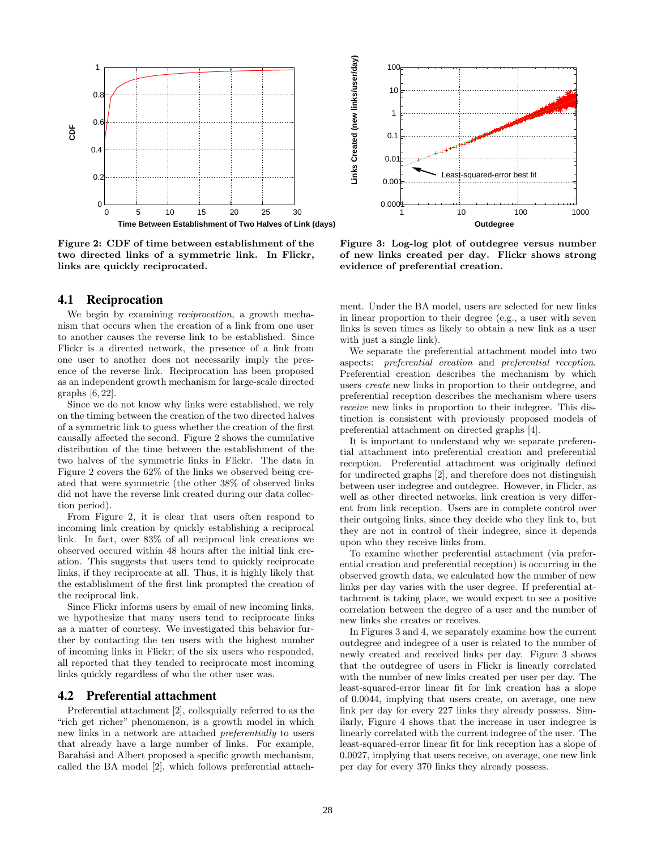

Figure 2: CDF of time between establishment of the two directed links of a symmetric link. In Flickr, links are quickly reciprocated.

# 4.1 Reciprocation

We begin by examining *reciprocation*, a growth mechanism that occurs when the creation of a link from one user to another causes the reverse link to be established. Since Flickr is a directed network, the presence of a link from one user to another does not necessarily imply the presence of the reverse link. Reciprocation has been proposed as an independent growth mechanism for large-scale directed graphs [6, 22].

Since we do not know why links were established, we rely on the timing between the creation of the two directed halves of a symmetric link to guess whether the creation of the first causally affected the second. Figure 2 shows the cumulative distribution of the time between the establishment of the two halves of the symmetric links in Flickr. The data in Figure 2 covers the 62% of the links we observed being created that were symmetric (the other 38% of observed links did not have the reverse link created during our data collection period).

From Figure 2, it is clear that users often respond to incoming link creation by quickly establishing a reciprocal link. In fact, over 83% of all reciprocal link creations we observed occured within 48 hours after the initial link creation. This suggests that users tend to quickly reciprocate links, if they reciprocate at all. Thus, it is highly likely that the establishment of the first link prompted the creation of the reciprocal link.

Since Flickr informs users by email of new incoming links, we hypothesize that many users tend to reciprocate links as a matter of courtesy. We investigated this behavior further by contacting the ten users with the highest number of incoming links in Flickr; of the six users who responded, all reported that they tended to reciprocate most incoming links quickly regardless of who the other user was.

## 4.2 Preferential attachment

Preferential attachment [2], colloquially referred to as the "rich get richer" phenomenon, is a growth model in which new links in a network are attached preferentially to users that already have a large number of links. For example, Barabási and Albert proposed a specific growth mechanism, called the BA model [2], which follows preferential attach-



Figure 3: Log-log plot of outdegree versus number of new links created per day. Flickr shows strong evidence of preferential creation.

ment. Under the BA model, users are selected for new links in linear proportion to their degree (e.g., a user with seven links is seven times as likely to obtain a new link as a user with just a single link).

We separate the preferential attachment model into two aspects: preferential creation and preferential reception. Preferential creation describes the mechanism by which users create new links in proportion to their outdegree, and preferential reception describes the mechanism where users receive new links in proportion to their indegree. This distinction is consistent with previously proposed models of preferential attachment on directed graphs [4].

It is important to understand why we separate preferential attachment into preferential creation and preferential reception. Preferential attachment was originally defined for undirected graphs [2], and therefore does not distinguish between user indegree and outdegree. However, in Flickr, as well as other directed networks, link creation is very different from link reception. Users are in complete control over their outgoing links, since they decide who they link to, but they are not in control of their indegree, since it depends upon who they receive links from.

To examine whether preferential attachment (via preferential creation and preferential reception) is occurring in the observed growth data, we calculated how the number of new links per day varies with the user degree. If preferential attachment is taking place, we would expect to see a positive correlation between the degree of a user and the number of new links she creates or receives.

In Figures 3 and 4, we separately examine how the current outdegree and indegree of a user is related to the number of newly created and received links per day. Figure 3 shows that the outdegree of users in Flickr is linearly correlated with the number of new links created per user per day. The least-squared-error linear fit for link creation has a slope of 0.0044, implying that users create, on average, one new link per day for every 227 links they already possess. Similarly, Figure 4 shows that the increase in user indegree is linearly correlated with the current indegree of the user. The least-squared-error linear fit for link reception has a slope of 0.0027, implying that users receive, on average, one new link per day for every 370 links they already possess.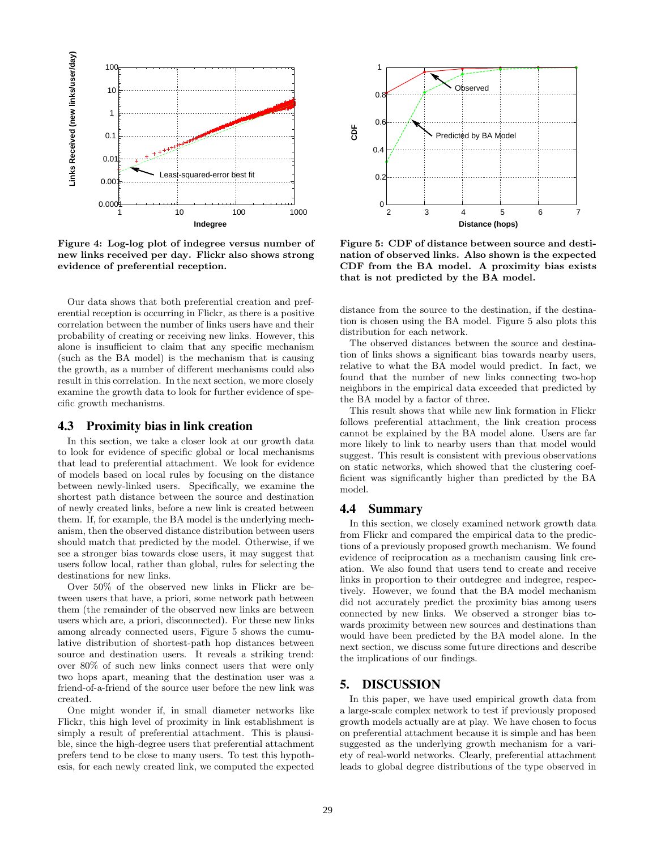

Figure 4: Log-log plot of indegree versus number of new links received per day. Flickr also shows strong evidence of preferential reception.

Our data shows that both preferential creation and preferential reception is occurring in Flickr, as there is a positive correlation between the number of links users have and their probability of creating or receiving new links. However, this alone is insufficient to claim that any specific mechanism (such as the BA model) is the mechanism that is causing the growth, as a number of different mechanisms could also result in this correlation. In the next section, we more closely examine the growth data to look for further evidence of specific growth mechanisms.

#### 4.3 Proximity bias in link creation

In this section, we take a closer look at our growth data to look for evidence of specific global or local mechanisms that lead to preferential attachment. We look for evidence of models based on local rules by focusing on the distance between newly-linked users. Specifically, we examine the shortest path distance between the source and destination of newly created links, before a new link is created between them. If, for example, the BA model is the underlying mechanism, then the observed distance distribution between users should match that predicted by the model. Otherwise, if we see a stronger bias towards close users, it may suggest that users follow local, rather than global, rules for selecting the destinations for new links.

Over 50% of the observed new links in Flickr are between users that have, a priori, some network path between them (the remainder of the observed new links are between users which are, a priori, disconnected). For these new links among already connected users, Figure 5 shows the cumulative distribution of shortest-path hop distances between source and destination users. It reveals a striking trend: over 80% of such new links connect users that were only two hops apart, meaning that the destination user was a friend-of-a-friend of the source user before the new link was created.

One might wonder if, in small diameter networks like Flickr, this high level of proximity in link establishment is simply a result of preferential attachment. This is plausible, since the high-degree users that preferential attachment prefers tend to be close to many users. To test this hypothesis, for each newly created link, we computed the expected



Figure 5: CDF of distance between source and destination of observed links. Also shown is the expected CDF from the BA model. A proximity bias exists that is not predicted by the BA model.

distance from the source to the destination, if the destination is chosen using the BA model. Figure 5 also plots this distribution for each network.

The observed distances between the source and destination of links shows a significant bias towards nearby users, relative to what the BA model would predict. In fact, we found that the number of new links connecting two-hop neighbors in the empirical data exceeded that predicted by the BA model by a factor of three.

This result shows that while new link formation in Flickr follows preferential attachment, the link creation process cannot be explained by the BA model alone. Users are far more likely to link to nearby users than that model would suggest. This result is consistent with previous observations on static networks, which showed that the clustering coefficient was significantly higher than predicted by the BA model.

# 4.4 Summary

In this section, we closely examined network growth data from Flickr and compared the empirical data to the predictions of a previously proposed growth mechanism. We found evidence of reciprocation as a mechanism causing link creation. We also found that users tend to create and receive links in proportion to their outdegree and indegree, respectively. However, we found that the BA model mechanism did not accurately predict the proximity bias among users connected by new links. We observed a stronger bias towards proximity between new sources and destinations than would have been predicted by the BA model alone. In the next section, we discuss some future directions and describe the implications of our findings.

# 5. DISCUSSION

In this paper, we have used empirical growth data from a large-scale complex network to test if previously proposed growth models actually are at play. We have chosen to focus on preferential attachment because it is simple and has been suggested as the underlying growth mechanism for a variety of real-world networks. Clearly, preferential attachment leads to global degree distributions of the type observed in